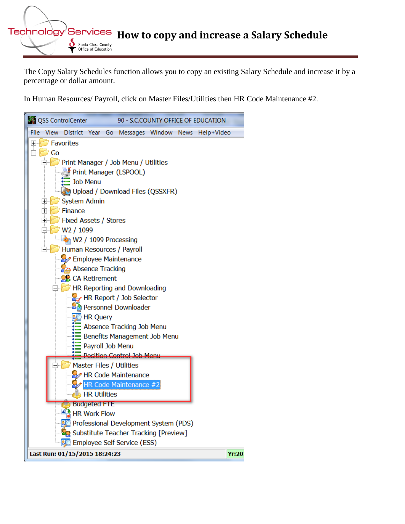**Technology Services** How to copy and increase a Salary Schedule of santa Clara County Office of Education

The Copy Salary Schedules function allows you to copy an existing Salary Schedule and increase it by a percentage or dollar amount.

In Human Resources/ Payroll, click on Master Files/Utilities then HR Code Maintenance #2.

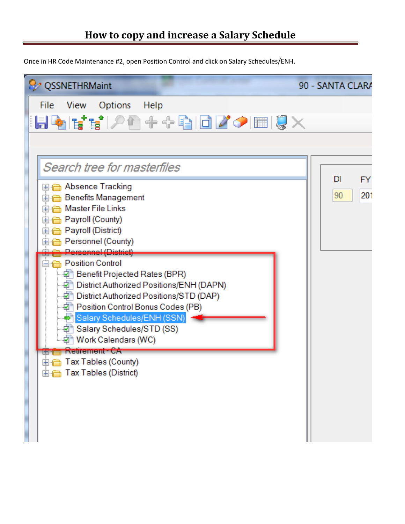Once in HR Code Maintenance #2, open Position Control and click on Salary Schedules/ENH.

| QSSNETHRMaint                                                                                                                                                                                                                                                                                              | 90 - SANTA CLARA             |
|------------------------------------------------------------------------------------------------------------------------------------------------------------------------------------------------------------------------------------------------------------------------------------------------------------|------------------------------|
| File View Options Help<br>▐▐▞▆▘▞▊ <sup>▗</sup> ▞▕▊▊▛ク█▏▊╳                                                                                                                                                                                                                                                  |                              |
| Search tree for masterfiles                                                                                                                                                                                                                                                                                |                              |
| ⊞ <mark>ri</mark> Absence Tracking<br>ட் Benefits Management<br>由 Master File Links<br><b>⊕ Payroll (County)</b><br>由 Payroll (District)<br>ட் <mark>—</mark> Personnel (County)                                                                                                                           | DI<br><b>FY</b><br>201<br>90 |
| Personnel (District)<br><b>Resition Control</b><br>中 Benefit Projected Rates (BPR)<br>District Authorized Positions/ENH (DAPN) –<br>District Authorized Positions/STD (DAP)<br>中 Position Control Bonus Codes (PB)<br>Salary Schedules/ENH (SSN)<br>…⊠ Salary Schedules/STD (SS)<br>·図 Nork Calendars (WC) |                              |
| newement va<br>i terrir<br>由 Tax Tables (County)<br>⊞ Tax Tables (District)                                                                                                                                                                                                                                |                              |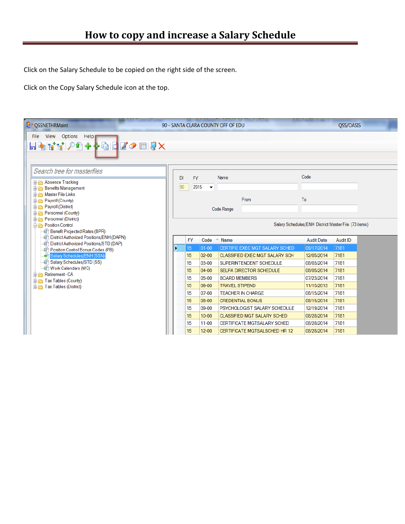Click on the Salary Schedule to be copied on the right side of the screen.

Click on the Copy Salary Schedule icon at the top.

| <b>Q</b> QSSNETHRMaint                                                                                                                                                                                                                                             |    |                                                      |                              | 90 - SANTA CLARA COUNTY OFF OF EDU    |                   | QSS/OASIS |  |  |  |  |
|--------------------------------------------------------------------------------------------------------------------------------------------------------------------------------------------------------------------------------------------------------------------|----|------------------------------------------------------|------------------------------|---------------------------------------|-------------------|-----------|--|--|--|--|
| View Options Help<br>File<br>$+$ $+$ QI $\sqcup$ $\varnothing$ $\sqcup$ $\mathbb{Q}$ $\times$<br>HHOO<br>目も                                                                                                                                                        |    |                                                      |                              |                                       |                   |           |  |  |  |  |
| Search tree for masterfiles<br><b>E</b> Absence Tracking<br><b>E</b> - <b>C</b> Benefits Management<br><b>E</b> -Master File Links<br>由 Payroll (County)<br><b>E</b> - <b>Payroll</b> (District)<br><b>E</b> - <b>C</b> Personnel (County)<br>Personnel (District) | DI | <b>FY</b><br>90                                      | 2015<br>$\blacktriangledown$ | Name<br>From<br>Code Range            | Code<br>To        |           |  |  |  |  |
| Position Control<br>Benefit Projected Rates (BPR)                                                                                                                                                                                                                  |    | Salary Schedules/ENH District Master File (73 items) |                              |                                       |                   |           |  |  |  |  |
| District Authorized Positions/ENH (DAPN)                                                                                                                                                                                                                           |    | <b>FY</b>                                            | Code                         | Name<br>abi,                          | <b>Audit Date</b> | Audit ID  |  |  |  |  |
| District Authorized Positions/STD (DAP)<br>Position Control Bonus Codes (PB)                                                                                                                                                                                       |    | 15 <sup>15</sup>                                     | $01 - 00$                    | CERTIFIC EXEC MGT SALARY SCHED        | 09/17/2014        | 7181      |  |  |  |  |
| Salary Schedules/ENH (SSN)<br>$\Rightarrow$                                                                                                                                                                                                                        |    | 15                                                   | $02 - 00$                    | <b>CLASSIFIED EXEC MGT SALARY SCH</b> | 12/05/2014        | 7181      |  |  |  |  |
| 回 Salary Schedules/STD (SS)                                                                                                                                                                                                                                        |    | 15                                                   | 03-00                        | SUPERINTENDENT SCHEDULE               | 08/03/2014        | 7181      |  |  |  |  |
| Mork Calendars (WC)<br><b>E</b> - <b>CA</b> Retirement - CA                                                                                                                                                                                                        |    | 15                                                   | $04 - 00$                    | <b>SELPA DIRECTOR SCHEDULE</b>        | 08/05/2014        | 7181      |  |  |  |  |
| <b>E</b> Tax Tables (County)                                                                                                                                                                                                                                       |    | 15                                                   | 05-00                        | <b>BOARD MEMBERS</b>                  | 07/23/2014        | 7181      |  |  |  |  |
| <b>E</b> Tax Tables (District)                                                                                                                                                                                                                                     |    | 15                                                   | 06-00                        | <b>TRAVEL STIPEND</b>                 | 11/15/2013        | 7181      |  |  |  |  |
|                                                                                                                                                                                                                                                                    |    | 15                                                   | 07-00                        | <b>TEACHER IN CHARGE</b>              | 08/15/2014        | 7181      |  |  |  |  |
|                                                                                                                                                                                                                                                                    |    | 15                                                   | 08-00                        | <b>CREDENTIAL BONUS</b>               | 08/15/2014        | 7181      |  |  |  |  |
|                                                                                                                                                                                                                                                                    |    | 15                                                   | 09-00                        | PSYCHOLOGIST SALARY SCHEDULE          | 12/19/2014        | 7181      |  |  |  |  |
|                                                                                                                                                                                                                                                                    |    | 15                                                   | $10 - 00$                    | <b>CLASSIFIED MGT SALARY SCHED</b>    | 08/28/2014        | 7181      |  |  |  |  |
|                                                                                                                                                                                                                                                                    |    | 15                                                   | $11 - 00$                    | <b>CERTIFICATE MGTSALARY SCHED</b>    | 08/28/2014        | 7181      |  |  |  |  |
|                                                                                                                                                                                                                                                                    |    | 15                                                   | $12 - 00$                    | CERTIFICATE MGTSALSCHED HR 12         | 08/28/2014        | 7181      |  |  |  |  |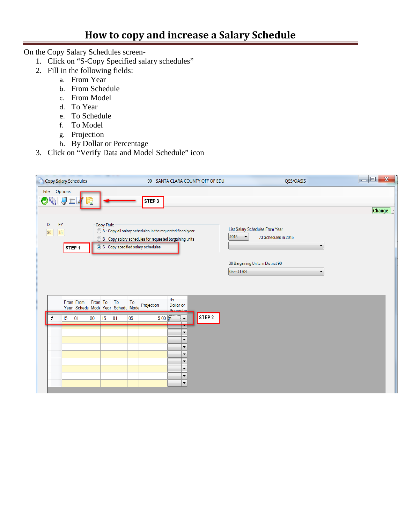On the Copy Salary Schedules screen-

- 1. Click on "S-Copy Specified salary schedules"
- 2. Fill in the following fields:
	- a. From Year
	- b. From Schedule
	- c. From Model
	- d. To Year
	- e. To Schedule
	- f. To Model
	- g. Projection
	- h. By Dollar or Percentage
- 3. Click on "Verify Data and Model Schedule" icon

|               | <b>Copy Salary Schedules</b> |                                                |         |           |    |    |                                                                                                                                                                            |                                                  | 90 - SANTA CLARA COUNTY OFF OF EDU |                                  | QSS/OASIS                                               | $\mathbf{x}$<br>$=$ $\Box$ |
|---------------|------------------------------|------------------------------------------------|---------|-----------|----|----|----------------------------------------------------------------------------------------------------------------------------------------------------------------------------|--------------------------------------------------|------------------------------------|----------------------------------|---------------------------------------------------------|----------------------------|
| $\bullet$ iii | File Options<br>I            |                                                | Ø       |           |    |    | STEP <sub>3</sub>                                                                                                                                                          |                                                  |                                    |                                  |                                                         |                            |
|               |                              |                                                |         |           |    |    |                                                                                                                                                                            |                                                  |                                    |                                  |                                                         | <b>Change</b>              |
| Di<br>90      | <b>FY</b><br>15 <sup>°</sup> | STEP <sub>1</sub>                              |         | Copy Rule |    |    | A - Copy all salary schedules in the requested fiscal year<br><sup>6</sup> B - Copy salary schedules for requested bargaining units<br>S - Copy specified salary schedules |                                                  |                                    | 2015<br>$\overline{\phantom{a}}$ | List Salary Schedules From Year<br>73 Schedules in 2015 | $\blacktriangledown$       |
|               |                              |                                                |         |           |    |    |                                                                                                                                                                            |                                                  |                                    | 05 - OTBS                        | 30 Bargaining Units in District 90                      | $\blacktriangledown$       |
|               |                              |                                                |         |           |    |    |                                                                                                                                                                            | By                                               |                                    |                                  |                                                         |                            |
|               |                              | From From<br>Year Schedu Mode Year Schedu Mode | From To |           | To | To | Projection                                                                                                                                                                 | Dollar or<br>Percentac                           |                                    |                                  |                                                         |                            |
| l             | 15                           | 01                                             | 00      | 15        | 01 | 05 | $5.00$ $\boxed{P}$                                                                                                                                                         | $\blacktriangledown$                             | STEP 2                             |                                  |                                                         |                            |
|               |                              |                                                |         |           |    |    |                                                                                                                                                                            | ▼                                                |                                    |                                  |                                                         |                            |
|               |                              |                                                |         |           |    |    |                                                                                                                                                                            | $\blacktriangledown$<br>$\overline{\phantom{a}}$ |                                    |                                  |                                                         |                            |
|               |                              |                                                |         |           |    |    |                                                                                                                                                                            | ▼<br>▼                                           |                                    |                                  |                                                         |                            |
|               |                              |                                                |         |           |    |    |                                                                                                                                                                            | $\blacktriangledown$<br>$\blacktriangledown$     |                                    |                                  |                                                         |                            |
|               |                              |                                                |         |           |    |    |                                                                                                                                                                            | $\blacktriangledown$                             |                                    |                                  |                                                         |                            |
|               |                              |                                                |         |           |    |    |                                                                                                                                                                            |                                                  |                                    |                                  |                                                         |                            |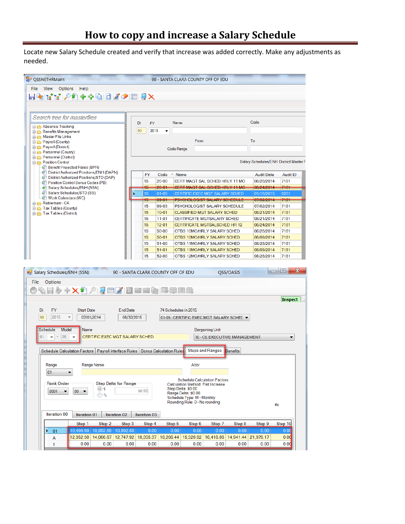Locate new Salary Schedule created and verify that increase was added correctly. Make any adjustments as needed.

| <b>&amp; QSSNETHRMaint</b>                                 |                                                                                           |                             |                                    |                      | 90 - SANTA CLARA COUNTY OFF OF EDU                                  |                              |                 |                                        |                 |  |  |  |
|------------------------------------------------------------|-------------------------------------------------------------------------------------------|-----------------------------|------------------------------------|----------------------|---------------------------------------------------------------------|------------------------------|-----------------|----------------------------------------|-----------------|--|--|--|
| File View<br><b>Options</b>                                | Help                                                                                      |                             |                                    |                      |                                                                     |                              |                 |                                        |                 |  |  |  |
|                                                            | <b>D^+⊹GBZO⊞UX</b>                                                                        |                             |                                    |                      |                                                                     |                              |                 |                                        |                 |  |  |  |
|                                                            |                                                                                           |                             |                                    |                      |                                                                     |                              |                 |                                        |                 |  |  |  |
|                                                            |                                                                                           |                             |                                    |                      |                                                                     |                              |                 |                                        |                 |  |  |  |
| Search tree for masterfiles                                |                                                                                           |                             |                                    |                      |                                                                     |                              |                 |                                        |                 |  |  |  |
| Absence Tracking                                           |                                                                                           |                             | DI<br><b>FY</b>                    |                      | Code                                                                |                              |                 |                                        |                 |  |  |  |
| <b>E</b> Benefits Management                               |                                                                                           |                             | 90<br>2015                         |                      |                                                                     |                              |                 |                                        |                 |  |  |  |
| <b>E</b> Master File Links<br><b>E</b> -C Payroll (County) |                                                                                           |                             |                                    |                      | From                                                                |                              |                 | To                                     |                 |  |  |  |
| Payroll (District)                                         |                                                                                           |                             |                                    |                      |                                                                     |                              |                 |                                        |                 |  |  |  |
| <b>E</b> Personnel (County)                                |                                                                                           |                             | <b>Code Range</b>                  |                      |                                                                     |                              |                 |                                        |                 |  |  |  |
| Personnel (District)<br><b>Position Control</b>            |                                                                                           |                             |                                    |                      |                                                                     |                              |                 | Salary Schedules/ENH District Master F |                 |  |  |  |
| <b>D</b> Benefit Projected Rates (BPR)                     |                                                                                           |                             |                                    |                      |                                                                     |                              |                 |                                        |                 |  |  |  |
|                                                            | District Authorized Positions/ENH (DAPN)<br>District Authorized Positions/STD (DAP)       |                             | <b>FY</b>                          | Code                 | Name                                                                |                              |                 | <b>Audit Date</b>                      | <b>Audit ID</b> |  |  |  |
| Position Control Bonus Codes (PB)                          |                                                                                           |                             | 15                                 | $20 - 00$            | CERT MAGT SAL SCHED HRLY 11 MO                                      |                              |                 | 08/28/2014                             | 7181            |  |  |  |
| Salary Schedules/ENH (SSN)                                 |                                                                                           |                             | 15                                 | $20 - 01$            | CERT MAGT SAL SCHED HRLY 11 MO                                      |                              |                 | 08/24/2014                             | 7181            |  |  |  |
| Salary Schedules/STD (SS)<br>ାଜୀ Work Calendars (WC)       |                                                                                           |                             | 15                                 | $01 - 05$            | CERTIFIC EXEC MGT SALARY SCHED                                      |                              |                 | 01/16/2015                             | 8251            |  |  |  |
| Retirement - CA                                            |                                                                                           |                             | 15<br>15                           | $09 - 01$<br>09-03   | <b>PSYCHOLOGIST SALARY SCHEDULE</b><br>PSYCHOLOGIST SALARY SCHEDULE |                              |                 | 07/02/2014<br>07/02/2014               | 7181<br>7181    |  |  |  |
| <b>E</b> Tax Tables (County)<br>Tax Tables (District)      |                                                                                           |                             | 15                                 | $10 - 01$            | <b>CLASSIFIED MGT SALARY SCHED</b>                                  |                              |                 | 08/21/2014                             | 7181            |  |  |  |
|                                                            |                                                                                           |                             | 15                                 | $11 - 01$            | <b>CERTIFICATE MGTSALARY SCHED</b>                                  |                              |                 | 08/21/2014                             | 7181            |  |  |  |
|                                                            |                                                                                           |                             | 15                                 | $12 - 01$            | <b>CERTIFICATE MGTSALSCHED HR 12</b>                                |                              |                 | 08/24/2014                             | 7181            |  |  |  |
|                                                            |                                                                                           |                             | 15                                 | $50 - 00$            | OTBS 10MO/HRLY SALARY SCHED                                         |                              |                 | 08/28/2014                             | 7181            |  |  |  |
|                                                            |                                                                                           |                             | 15                                 | $50 - 01$            | OTBS 10MO/HRLY SALARY SCHED                                         |                              |                 | 08/09/2014                             | 7181            |  |  |  |
|                                                            |                                                                                           |                             | 15                                 | $51 - 00$            | OTBS 11MO/HRLY SALARY SCHED                                         |                              |                 | 08/28/2014                             | 7181            |  |  |  |
|                                                            |                                                                                           |                             |                                    |                      |                                                                     |                              |                 |                                        |                 |  |  |  |
|                                                            |                                                                                           |                             | 15                                 | $51 - 01$            | OTBS 11MO/HRLY SALARY SCHED                                         |                              |                 | 08/09/2014                             | 7181            |  |  |  |
|                                                            |                                                                                           |                             | 15                                 | 52-00                | OTBS 12MO/HRLY SALARY SCHED                                         |                              |                 | 08/28/2014                             | 7181            |  |  |  |
|                                                            |                                                                                           |                             |                                    |                      |                                                                     |                              |                 |                                        |                 |  |  |  |
|                                                            |                                                                                           |                             | 90 - SANTA CLARA COUNTY OFF OF EDU |                      |                                                                     |                              | QSS/OASIS       |                                        | ١o              |  |  |  |
| <b>Options</b>                                             |                                                                                           |                             |                                    |                      |                                                                     |                              |                 |                                        |                 |  |  |  |
|                                                            | 日夕十人们/【【田】【口田田如日罪事日                                                                       |                             |                                    |                      |                                                                     |                              |                 |                                        |                 |  |  |  |
|                                                            |                                                                                           |                             |                                    |                      |                                                                     |                              |                 |                                        | <b>Inspect</b>  |  |  |  |
|                                                            |                                                                                           |                             |                                    |                      |                                                                     |                              |                 |                                        |                 |  |  |  |
| <b>FY</b><br>Di                                            | <b>Start Date</b>                                                                         | <b>End Date</b>             |                                    | 74 Schedules in 2015 |                                                                     |                              |                 |                                        |                 |  |  |  |
| 90<br>2015<br>$\overline{\mathbf v}$                       | 07/01/2014                                                                                | 06/30/2015                  |                                    |                      | 01-05 : CERTIFIC EXEC MGT SALARY SCHEE ▼                            |                              |                 |                                        |                 |  |  |  |
| Schedule<br>Model                                          | Name                                                                                      |                             |                                    |                      |                                                                     |                              |                 |                                        |                 |  |  |  |
| 05<br>01<br>$\overline{\mathbf{v}}$<br>٠                   | CERTIFIC EXEC MGT SALARY SCHED                                                            |                             |                                    |                      |                                                                     | <b>Bargaining Unit</b>       |                 |                                        |                 |  |  |  |
|                                                            |                                                                                           |                             |                                    |                      |                                                                     | 10 - CE EXECUTIVE MANAGEMENT |                 |                                        |                 |  |  |  |
|                                                            | Schedule Calculation Factors   Payroll Interface Rules   Bonus Calculation Rules          |                             |                                    |                      |                                                                     | <b>Steps and Ranges</b>      | <b>Benefits</b> |                                        |                 |  |  |  |
|                                                            |                                                                                           |                             |                                    |                      |                                                                     |                              |                 |                                        |                 |  |  |  |
| Range                                                      | Range Name                                                                                |                             |                                    |                      | Abbr                                                                |                              |                 |                                        |                 |  |  |  |
| 01                                                         |                                                                                           |                             |                                    |                      |                                                                     |                              |                 |                                        |                 |  |  |  |
|                                                            |                                                                                           |                             |                                    |                      | <b>Schedule Calculation Factors:</b>                                |                              |                 |                                        |                 |  |  |  |
| <b>Rank Order</b>                                          |                                                                                           | <b>Step Delta for Range</b> |                                    |                      | Calculation Method: Flat Increase<br>Step Delta: \$0.00             |                              |                 |                                        |                 |  |  |  |
| $00\,$<br>0001<br>▼                                        | $($ a $\ast$<br>$\overline{\phantom{a}}$<br>$\odot$ %                                     |                             | \$0.00                             |                      | Range Delta: \$0.00                                                 |                              |                 |                                        |                 |  |  |  |
|                                                            |                                                                                           |                             |                                    |                      | Schedule Type: M - Monthly<br>Rounding Rule: 0 - No rounding        |                              |                 |                                        |                 |  |  |  |
|                                                            |                                                                                           |                             |                                    |                      |                                                                     |                              |                 |                                        | ıts             |  |  |  |
| Iteration 00                                               | Iteration 01                                                                              | Iteration 02                | Iteration 03                       |                      |                                                                     |                              |                 |                                        |                 |  |  |  |
|                                                            | Step 2<br>Step 1                                                                          | Step 3                      | Step 4                             | Step 5               | Step 6                                                              | Step 7                       | Step 8          | Step 9                                 | Step 10         |  |  |  |
| Salary Schedules/ENH (SSN)<br>File<br>×.<br>01             | 10,499.89<br>10,882.85                                                                    | 10,892.88                   | 0.00                               | 0.00                 | 0.00                                                                | 0.00                         | 0.00            | 0.00                                   | 0.00            |  |  |  |
| A                                                          | 12,352.30 14,066.67 12,747.92 18,335.37 16,266.44 15,329.92 16,416.86 14,941.44 21,979.17 |                             |                                    |                      |                                                                     |                              |                 |                                        | 0.00            |  |  |  |